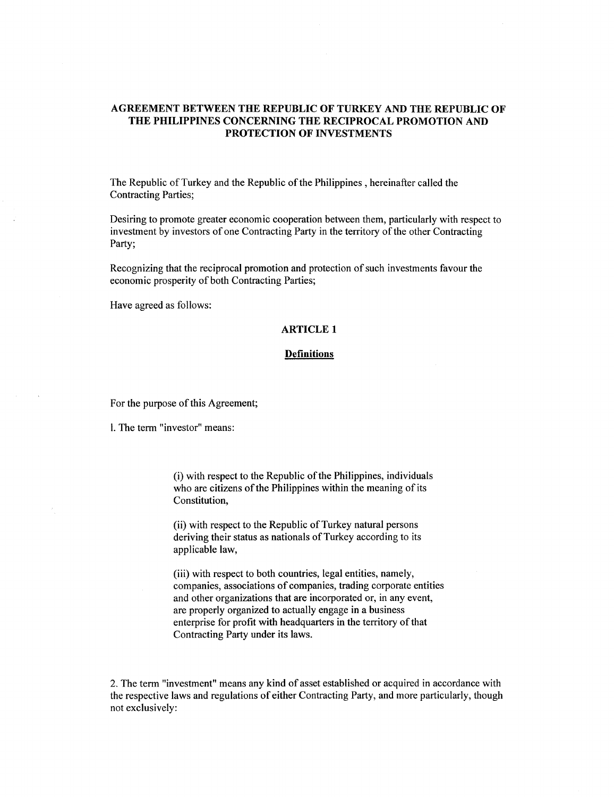## **AGREEMENT BETWEEN THE REPUBLIC OF TURKEY AND THE REPUBLIC OF THE PHILIPPINES CONCERNING THE RECIPROCAL PROMOTION AND PROTECTION OF INVESTMENTS**

The Republic of Turkey and the Republic of the Philippines, hereinafter called the Contracting Parties;

Desiring to promote greater economic cooperation between them, particularly with respect to investment by investors of one Contracting Party in the territory of the other Contracting Party;

Recognizing that the reciprocal promotion and protection of such investments favour the economic prosperity of both Contracting Parties;

Have agreed as follows:

### **ARTICLE 1**

#### **Definitions**

For the purpose of this Agreement;

1. The term "investor" means:

(i) with respect to the Republic of the Philippines, individuals who are citizens of the Philippines within the meaning of its Constitution,

(ii) with respect to the Republic of Turkey natural persons deriving their status as nationals of Turkey according to its applicable law,

(iii) with respect to both countries, legal entities, namely, companies, associations of companies, trading corporate entities and other organizations that are incorporated or, in any event, are properly organized to actually engage in a business enterprise for profit with headquarters in the territory of that Contracting Party under its laws.

2. The term "investment" means any kind of asset established or acquired in accordance with the respective laws and regulations of either Contracting Party, and more particularly, though not exclusively: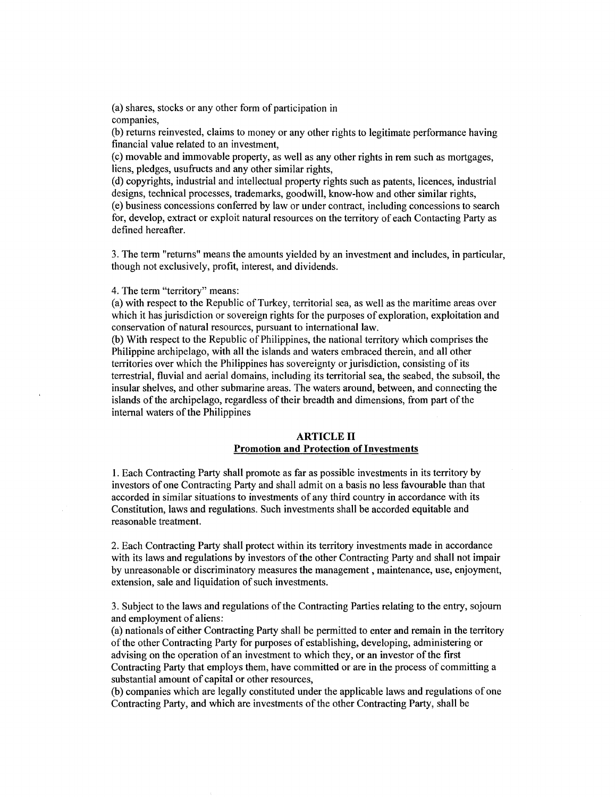(a) shares, stocks or any other form of participation in companies,

(b) returns reinvested, claims to money or any other rights to legitimate performance having financial value related to an investment,

(c) movable and immovable property, as well as any other rights in rem such as mortgages, liens, pledges, usufructs and any other similar rights,

(d) copyrights, industrial and intellectual property rights such as patents, licences, industrial designs, technical processes, trademarks, goodwill, know-how and other similar rights,

(e) business concessions conferred by law or under contract, including concessions to search for, develop, extract or exploit natural resources on the territory of each Contacting Party as defined hereafter.

3. The term "returns" means the amounts yielded by an investment and includes, in particular, though not exclusively, profit, interest, and dividends.

4. The term "territory" means:

 $\mathbf{r}$ 

(a) with respect to the Republic of Turkey, territorial sea, as well as the maritime areas over which it has jurisdiction or sovereign rights for the purposes of exploration, exploitation and conservation of natural resources, pursuant to international law.

(b) With respect to the Republic of Philippines, the national territory which comprises the Philippine archipelago, with all the islands and waters embraced therein, and all other territories over which the Philippines has sovereignty or jurisdiction, consisting of its terrestrial, fluvial and aerial domains, including its territorial sea, the seabed, the subsoil, the insular shelves, and other submarine areas. The waters around, between, and connecting the islands of the archipelago, regardless of their breadth and dimensions, from part of the internal waters of the Philippines

## **ARTICLE II Promotion and Protection of Investments**

I. Each Contracting Party shall promote as far as possible investments in its territory by investors of one Contracting Party and shall admit on a basis no less favourable than that accorded in similar situations to investments of any third country in accordance with its Constitution, laws and regulations. Such investments shall be accorded equitable and reasonable treatment.

2. Each Contracting Party shall protect within its territory investments made in accordance with its laws and regulations by investors of the other Contracting Party and shall not impair by unreasonable or discriminatory measures the management, maintenance, use, enjoyment, extension, sale and liquidation of such investments.

3. Subject to the laws and regulations of the Contracting Parties relating to the entry, sojourn and employment of aliens:

(a) nationals of either Contracting Party shall be permitted to enter and remain in the territory of the other Contracting Party for purposes of establishing, developing, administering or advising on the operation of an investment to which they, or an investor of the first Contracting Party that employs them, have committed or are in the process of committing a substantial amount of capital or other resources,

(b) companies which are legally constituted under the applicable laws and regulations of one Contracting Party, and which are investments of the other Contracting Party, shall be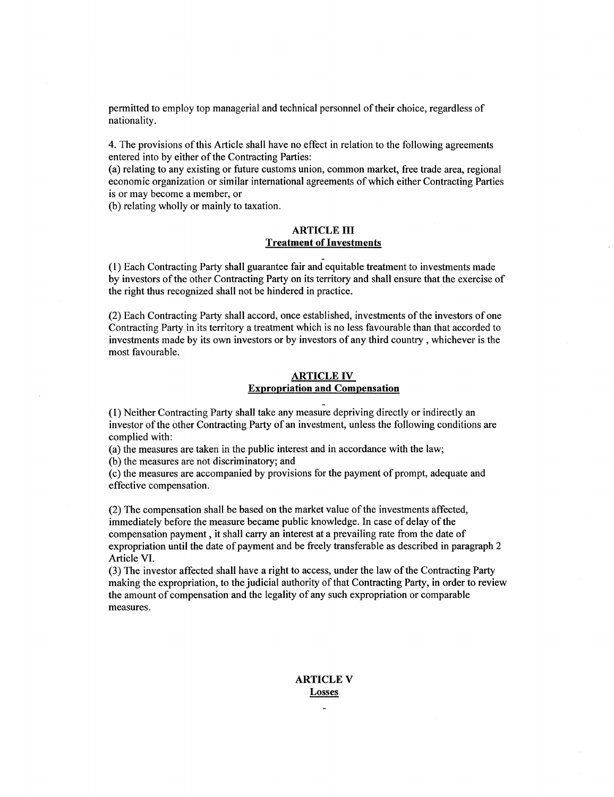permitted to employ top managerial and technical personnel of their choice, regardless of nationality.

4. The provisions of this Article shall have no effect in relation to the following agreements entered into by either of the Contracting Parties:

(a) relating to any existing or future customs union, common market, free trade area, regional economic organization or similar international agreements of which either Contracting Parties is or may become a member, or

(b) relating wholly or mainly to taxation.

## ARTICLE III Treatment of Investments

- (1) Each Contracting Party shall guarantee fair and equitable treatment to investments made by investors of the other Contracting Party on its territory and shall ensure that the exercise of the right thus recognized shall not be hindered in practice.

(2) Each Contracting Party shall accord, once established, investments of the investors of one Contracting Party in its territory a treatment which is no less favourable than that accorded to investments made by its own investors or by investors of any third country, whichever is the most favourable.

### ARTICLE IV Expropriation and Compensation

(1) Neither Contracting Party shall take any measure depriving directly or indirectly an investor of the other Contracting Party of an investment, unless the following conditions are complied with:

(a) the measures are taken in the public interest and in accordance with the law;

(b) the measures are not discriminatory; and

(c) the measures are accompanied by provisions for the payment of prompt, adequate and effective compensation.

(2) The compensation shall be based on the market value of the investments affected, immediately before the measure became public knowledge. In case of delay of the compensation payment, it shall carry an interest at a prevailing rate from the date of expropriation until the date of payment and be freely transferable as described in paragraph 2 Article VI.

(3) The investor affected shall have a right to access, under the law of the Contracting Party making the expropriation, to the judicial authority of that Contracting Party, in order to review the amount of compensation and the legality of any such expropriation or comparable measures.

# ARTICLE V Losses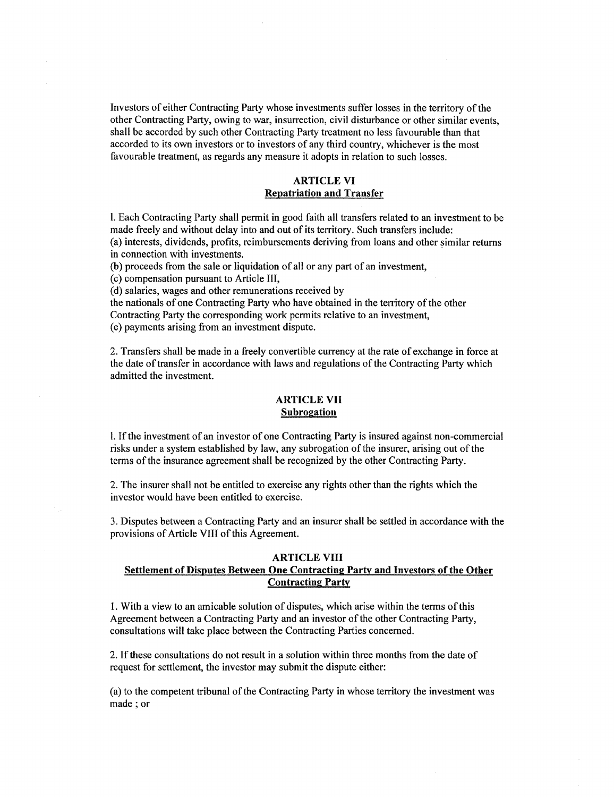Investors of either Contracting Party whose investments suffer losses in the territory of the other Contracting Party, owing to war, insurrection, civil disturbance or other similar events, shall be accorded by such other Contracting Party treatment no less favourable than that accorded to its own investors or to investors of any third country, whichever is the most favourable treatment, as regards any measure it adopts in relation to such losses.

## ARTICLE VI Repatriation and Transfer

l. Each Contracting Party shall permit in good faith all transfers related to an investment to be made freely and without delay into and out of its territory. Such transfers include: (a) interests, dividends, profits, reimbursements deriving from loans and other similar returns in connection with investments.

(b) proceeds from the sale or liquidation of all or any part of an investment,

(c) compensation pursuant to Article III,

(d) salaries, wages and other remunerations received by

the nationals of one Contracting Party who have obtained in the territory of the other Contracting Party the corresponding work permits relative to an investment, (e) payments arising from an investment dispute.

2. Transfers shall be made in a freely convertible currency at the rate of exchange in force at the date of transfer in accordance with laws and regulations of the Contracting Party which admitted the investment.

## ARTICLE VII Subrogation

l. If the investment of an investor of one Contracting Party is insured against non-commercial risks under a system established by law, any subrogation of the insurer, arising out of the terms of the insurance agreement shall be recognized by the other Contracting Party.

2. The insurer shall not be entitled to exercise any rights other than the rights which the investor would have been entitled to exercise.

3. Disputes between a Contracting Party and an insurer shall be settled in accordance with the provisions of Article VIII of this Agreement.

## ARTICLE VIII Settlement of Disputes Between One Contracting Party and Investors of the Other Contracting Party

1. With a view to an amicable solution of disputes, which arise within the terms of this Agreement between a Contracting Party and an investor of the other Contracting Party, consultations will take place between the Contracting Parties concerned.

2. If these consultations do not result in a solution within three months from the date of request for settlement, the investor may submit the dispute either:

(a) to the competent tribunal of the Contracting Party in whose territory the investment was made; or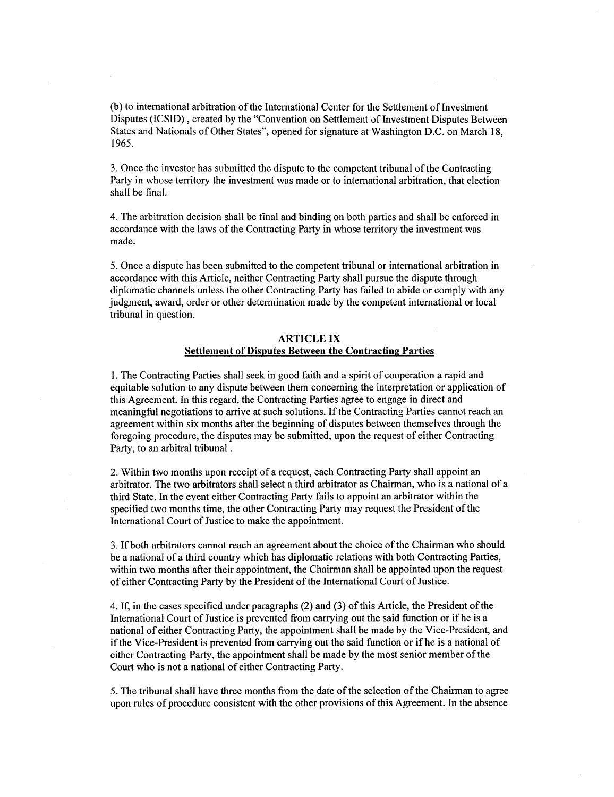(b) to international arbitration of the International Center for the Settlement of Investment Disputes (ICSID) , created by the "Convention on Settlement of Investment Disputes Between States and Nationals of Other States", opened for signature at Washington D.C. on March 18, 1965.

3. Once the investor has submitted the dispute to the competent tribunal of the Contracting Party in whose territory the investment was made or to international arbitration, that election shall be final.

4. The arbitration decision shall be final and binding on both parties and shall be enforced in accordance with the laws of the Contracting Party in whose territory the investment was made.

5. Once a dispute has been submitted to the competent tribunal or international arbitration in accordance with this Article, neither Contracting Party shall pursue the dispute through diplomatic channels unless the other Contracting Party has failed to abide or comply with any judgment, award, order or other determination made by the competent international or local tribunal in question.

### ARTICLE IX Settlement of Disputes Between the Contracting Parties

1. The Contracting Parties shall seek in good faith and a spirit of cooperation a rapid and equitable solution to any dispute between them concerning the interpretation or application of this Agreement. In this regard, the Contracting Parties agree to engage in direct and meaningful negotiations to arrive at such solutions. If the Contracting Parties cannot reach an agreement within six months after the beginning of disputes between themselves through the foregoing procedure, the disputes may be submitted, upon the request of either Contracting Party, to an arbitral tribunal .

2. Within two months upon receipt of a request, each Contracting Party shall appoint an arbitrator. The two arbitrators shall select a third arbitrator as Chairman, who is a national of a third State. In the event either Contracting Party fails to appoint an arbitrator within the specified two months time, the other Contracting Party may request the President of the International Court of Justice to make the appointment.

3. If both arbitrators cannot reach an agreement about the choice of the Chairman who should be a national of a third country which has diplomatic relations with both Contracting Parties, within two months after their appointment, the Chairman shall be appointed upon the request of either Contracting Party by the President of the International Court of Justice.

4. If, in the cases specified under paragraphs (2) and (3) of this Article, the President of the International Court of Justice is prevented from carrying out the said function or if he is a national of either Contracting Party, the appointment shall be made by the Vice-President, and if the Vice-President is prevented from carrying out the said function or if he is a national of either Contracting Party, the appointment shall be made by the most senior member of the Court who is not a national of either Contracting Party.

5. The tribunal shall have three months from the date of the selection of the Chairman to agree upon rules of procedure consistent with the other provisions of this Agreement. In the absence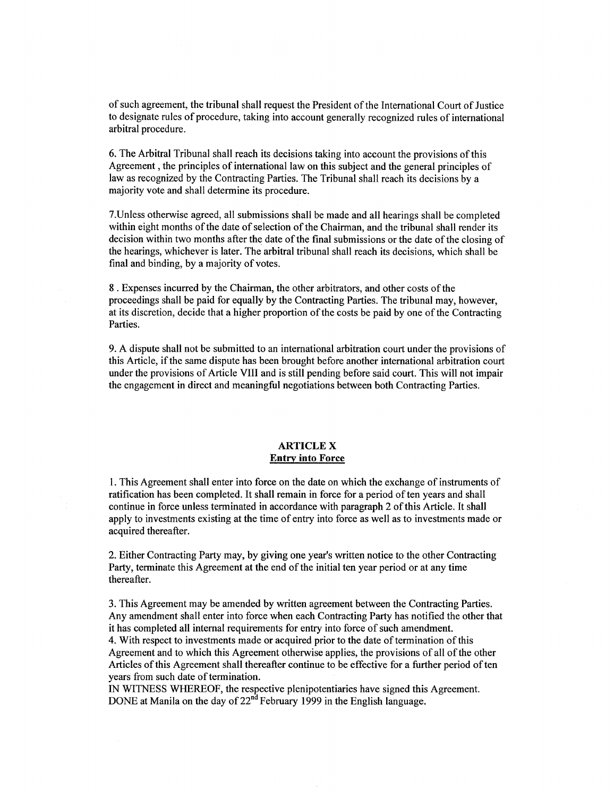of such agreement, the tribunal shall request the President of the International Court of Justice to designate rules of procedure, taking into account generally recognized rules of international arbitral procedure.

6. The Arbitral Tribunal shall reach its decisions taking into account the provisions of this Agreement, the principles of international law on this subject and the general principles of law as recognized by the Contracting Parties. The Tribunal shall reach its decisions by a majority vote and shall determine its procedure.

7.Unless otherwise agreed, all submissions shall be made and all hearings shall be completed within eight months of the date of selection of the Chairman, and the tribunal shall render its decision within two months after the date of the final submissions or the date of the closing of the hearings, whichever is later. The arbitral tribunal shall reach its decisions, which shall be final and binding, by a majority of votes.

8. Expenses incurred by the Chairman, the other arbitrators, and other costs of the proceedings shall be paid for equally by the Contracting Parties. The tribunal may, however, at its discretion, decide that a higher proportion of the costs be paid by one of the Contracting Parties.

9. A dispute shall not be submitted to an international arbitration court under the provisions of this Article, if the same dispute has been brought before another international arbitration court under the provisions of Article VIII and is still pending before said court. This will not impair the engagement in direct and meaningful negotiations between both Contracting Parties.

## ARTICLE X **Entry into** Force

1. This Agreement shall enter into force on the date on which the exchange of instruments of ratification has been completed. It shall remain in force for a period often years and shall continue in force unless terminated in accordance with paragraph 2 of this Article. It shall apply to investments existing at the time of entry into force as well as to investments made or acquired thereafter.

2. Either Contracting Party may, by giving one year's written notice to the other Contracting Party, terminate this Agreement at the end of the initial ten year period or at any time thereafter.

3. This Agreement may be amended by written agreement between the Contracting Parties. Any amendment shall enter into force when each Contracting Party has notified the other that it has completed all internal requirements for entry into force of such amendment. 4. With respect to investments made or acquired prior to the date of termination of this Agreement and to which this Agreement otherwise applies, the provisions of all of the other Articles of this Agreement shall thereafter continue to be effective for a further period of ten years from such date of termination.

IN WITNESS WHEREOF, the respective plenipotentiaries have signed this Agreement. DONE at Manila on the day of  $22<sup>nd</sup>$  February 1999 in the English language.